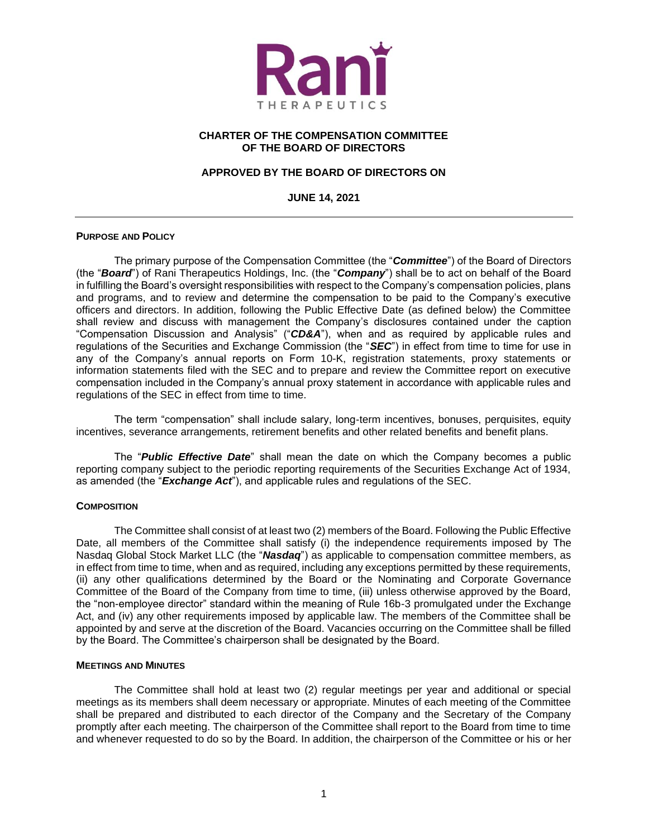

## **CHARTER OF THE COMPENSATION COMMITTEE OF THE BOARD OF DIRECTORS**

# **APPROVED BY THE BOARD OF DIRECTORS ON**

**JUNE 14, 2021**

### **PURPOSE AND POLICY**

The primary purpose of the Compensation Committee (the "*Committee*") of the Board of Directors (the "*Board*") of Rani Therapeutics Holdings, Inc. (the "*Company*") shall be to act on behalf of the Board in fulfilling the Board's oversight responsibilities with respect to the Company's compensation policies, plans and programs, and to review and determine the compensation to be paid to the Company's executive officers and directors. In addition, following the Public Effective Date (as defined below) the Committee shall review and discuss with management the Company's disclosures contained under the caption "Compensation Discussion and Analysis" ("*CD&A*"), when and as required by applicable rules and regulations of the Securities and Exchange Commission (the "*SEC*") in effect from time to time for use in any of the Company's annual reports on Form 10-K, registration statements, proxy statements or information statements filed with the SEC and to prepare and review the Committee report on executive compensation included in the Company's annual proxy statement in accordance with applicable rules and regulations of the SEC in effect from time to time.

The term "compensation" shall include salary, long-term incentives, bonuses, perquisites, equity incentives, severance arrangements, retirement benefits and other related benefits and benefit plans.

The "*Public Effective Date*" shall mean the date on which the Company becomes a public reporting company subject to the periodic reporting requirements of the Securities Exchange Act of 1934, as amended (the "*Exchange Act*"), and applicable rules and regulations of the SEC.

#### **COMPOSITION**

The Committee shall consist of at least two (2) members of the Board. Following the Public Effective Date, all members of the Committee shall satisfy (i) the independence requirements imposed by The Nasdaq Global Stock Market LLC (the "*Nasdaq*") as applicable to compensation committee members, as in effect from time to time, when and as required, including any exceptions permitted by these requirements, (ii) any other qualifications determined by the Board or the Nominating and Corporate Governance Committee of the Board of the Company from time to time, (iii) unless otherwise approved by the Board, the "non-employee director" standard within the meaning of Rule 16b-3 promulgated under the Exchange Act, and (iv) any other requirements imposed by applicable law. The members of the Committee shall be appointed by and serve at the discretion of the Board. Vacancies occurring on the Committee shall be filled by the Board. The Committee's chairperson shall be designated by the Board.

#### **MEETINGS AND MINUTES**

The Committee shall hold at least two (2) regular meetings per year and additional or special meetings as its members shall deem necessary or appropriate. Minutes of each meeting of the Committee shall be prepared and distributed to each director of the Company and the Secretary of the Company promptly after each meeting. The chairperson of the Committee shall report to the Board from time to time and whenever requested to do so by the Board. In addition, the chairperson of the Committee or his or her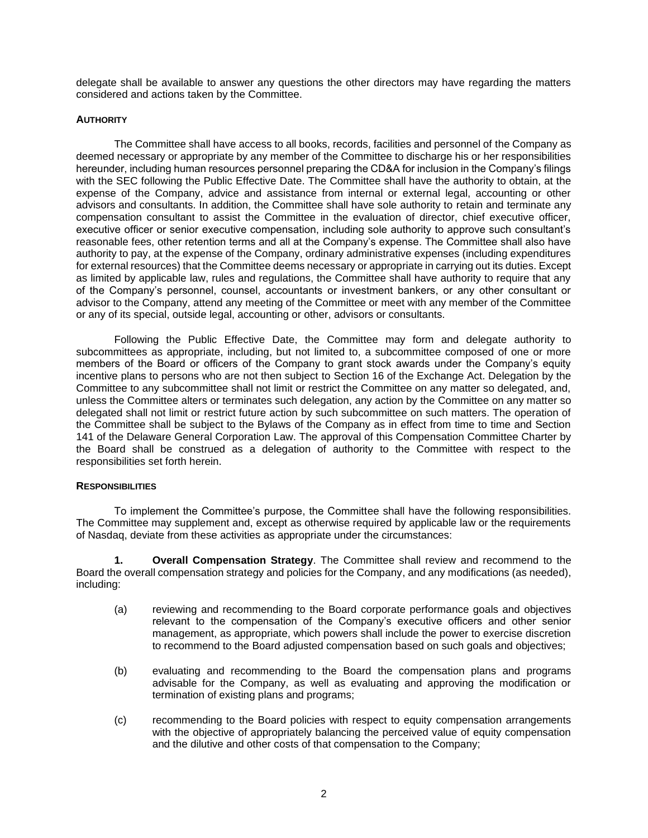delegate shall be available to answer any questions the other directors may have regarding the matters considered and actions taken by the Committee.

## **AUTHORITY**

The Committee shall have access to all books, records, facilities and personnel of the Company as deemed necessary or appropriate by any member of the Committee to discharge his or her responsibilities hereunder, including human resources personnel preparing the CD&A for inclusion in the Company's filings with the SEC following the Public Effective Date. The Committee shall have the authority to obtain, at the expense of the Company, advice and assistance from internal or external legal, accounting or other advisors and consultants. In addition, the Committee shall have sole authority to retain and terminate any compensation consultant to assist the Committee in the evaluation of director, chief executive officer, executive officer or senior executive compensation, including sole authority to approve such consultant's reasonable fees, other retention terms and all at the Company's expense. The Committee shall also have authority to pay, at the expense of the Company, ordinary administrative expenses (including expenditures for external resources) that the Committee deems necessary or appropriate in carrying out its duties. Except as limited by applicable law, rules and regulations, the Committee shall have authority to require that any of the Company's personnel, counsel, accountants or investment bankers, or any other consultant or advisor to the Company, attend any meeting of the Committee or meet with any member of the Committee or any of its special, outside legal, accounting or other, advisors or consultants.

Following the Public Effective Date, the Committee may form and delegate authority to subcommittees as appropriate, including, but not limited to, a subcommittee composed of one or more members of the Board or officers of the Company to grant stock awards under the Company's equity incentive plans to persons who are not then subject to Section 16 of the Exchange Act. Delegation by the Committee to any subcommittee shall not limit or restrict the Committee on any matter so delegated, and, unless the Committee alters or terminates such delegation, any action by the Committee on any matter so delegated shall not limit or restrict future action by such subcommittee on such matters. The operation of the Committee shall be subject to the Bylaws of the Company as in effect from time to time and Section 141 of the Delaware General Corporation Law. The approval of this Compensation Committee Charter by the Board shall be construed as a delegation of authority to the Committee with respect to the responsibilities set forth herein.

#### **RESPONSIBILITIES**

To implement the Committee's purpose, the Committee shall have the following responsibilities. The Committee may supplement and, except as otherwise required by applicable law or the requirements of Nasdaq, deviate from these activities as appropriate under the circumstances:

**1. Overall Compensation Strategy**. The Committee shall review and recommend to the Board the overall compensation strategy and policies for the Company, and any modifications (as needed), including:

- (a) reviewing and recommending to the Board corporate performance goals and objectives relevant to the compensation of the Company's executive officers and other senior management, as appropriate, which powers shall include the power to exercise discretion to recommend to the Board adjusted compensation based on such goals and objectives;
- (b) evaluating and recommending to the Board the compensation plans and programs advisable for the Company, as well as evaluating and approving the modification or termination of existing plans and programs;
- (c) recommending to the Board policies with respect to equity compensation arrangements with the objective of appropriately balancing the perceived value of equity compensation and the dilutive and other costs of that compensation to the Company;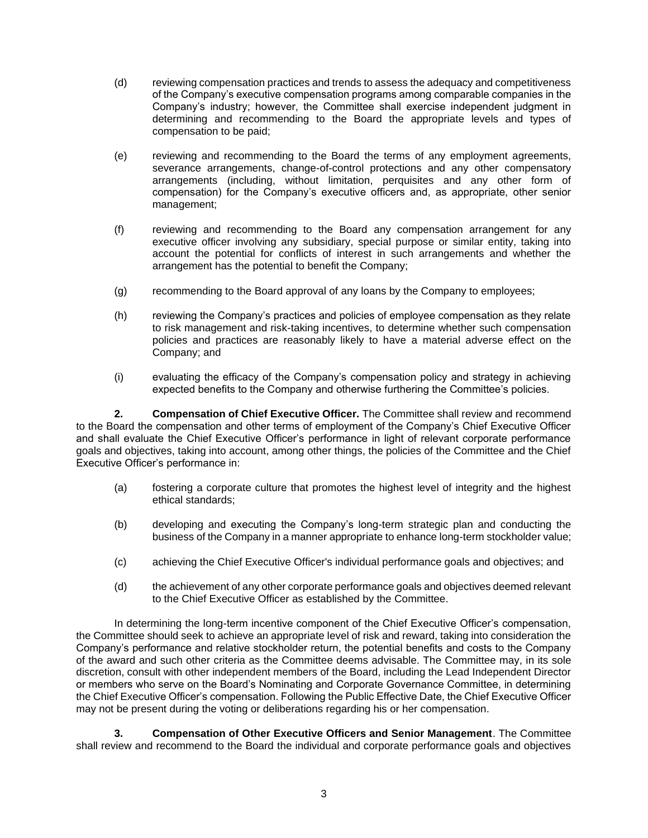- (d) reviewing compensation practices and trends to assess the adequacy and competitiveness of the Company's executive compensation programs among comparable companies in the Company's industry; however, the Committee shall exercise independent judgment in determining and recommending to the Board the appropriate levels and types of compensation to be paid;
- (e) reviewing and recommending to the Board the terms of any employment agreements, severance arrangements, change-of-control protections and any other compensatory arrangements (including, without limitation, perquisites and any other form of compensation) for the Company's executive officers and, as appropriate, other senior management;
- (f) reviewing and recommending to the Board any compensation arrangement for any executive officer involving any subsidiary, special purpose or similar entity, taking into account the potential for conflicts of interest in such arrangements and whether the arrangement has the potential to benefit the Company;
- (g) recommending to the Board approval of any loans by the Company to employees;
- (h) reviewing the Company's practices and policies of employee compensation as they relate to risk management and risk-taking incentives, to determine whether such compensation policies and practices are reasonably likely to have a material adverse effect on the Company; and
- (i) evaluating the efficacy of the Company's compensation policy and strategy in achieving expected benefits to the Company and otherwise furthering the Committee's policies.

**2. Compensation of Chief Executive Officer.** The Committee shall review and recommend to the Board the compensation and other terms of employment of the Company's Chief Executive Officer and shall evaluate the Chief Executive Officer's performance in light of relevant corporate performance goals and objectives, taking into account, among other things, the policies of the Committee and the Chief Executive Officer's performance in:

- (a) fostering a corporate culture that promotes the highest level of integrity and the highest ethical standards;
- (b) developing and executing the Company's long-term strategic plan and conducting the business of the Company in a manner appropriate to enhance long-term stockholder value;
- (c) achieving the Chief Executive Officer's individual performance goals and objectives; and
- (d) the achievement of any other corporate performance goals and objectives deemed relevant to the Chief Executive Officer as established by the Committee.

In determining the long-term incentive component of the Chief Executive Officer's compensation, the Committee should seek to achieve an appropriate level of risk and reward, taking into consideration the Company's performance and relative stockholder return, the potential benefits and costs to the Company of the award and such other criteria as the Committee deems advisable. The Committee may, in its sole discretion, consult with other independent members of the Board, including the Lead Independent Director or members who serve on the Board's Nominating and Corporate Governance Committee, in determining the Chief Executive Officer's compensation. Following the Public Effective Date, the Chief Executive Officer may not be present during the voting or deliberations regarding his or her compensation.

**3. Compensation of Other Executive Officers and Senior Management**. The Committee shall review and recommend to the Board the individual and corporate performance goals and objectives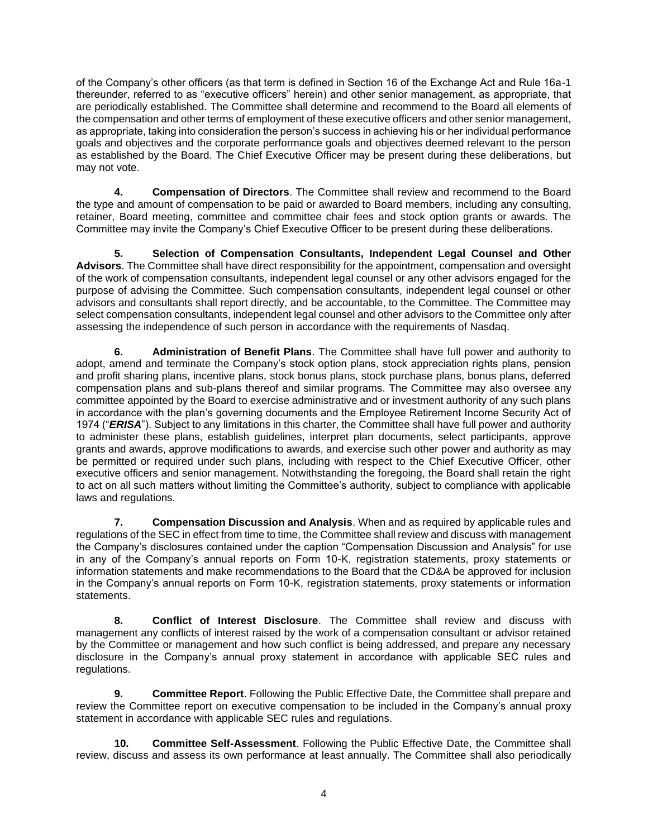of the Company's other officers (as that term is defined in Section 16 of the Exchange Act and Rule 16a-1 thereunder, referred to as "executive officers" herein) and other senior management, as appropriate, that are periodically established. The Committee shall determine and recommend to the Board all elements of the compensation and other terms of employment of these executive officers and other senior management, as appropriate, taking into consideration the person's success in achieving his or her individual performance goals and objectives and the corporate performance goals and objectives deemed relevant to the person as established by the Board. The Chief Executive Officer may be present during these deliberations, but may not vote.

**4. Compensation of Directors**. The Committee shall review and recommend to the Board the type and amount of compensation to be paid or awarded to Board members, including any consulting, retainer, Board meeting, committee and committee chair fees and stock option grants or awards. The Committee may invite the Company's Chief Executive Officer to be present during these deliberations.

**5. Selection of Compensation Consultants, Independent Legal Counsel and Other Advisors**. The Committee shall have direct responsibility for the appointment, compensation and oversight of the work of compensation consultants, independent legal counsel or any other advisors engaged for the purpose of advising the Committee. Such compensation consultants, independent legal counsel or other advisors and consultants shall report directly, and be accountable, to the Committee. The Committee may select compensation consultants, independent legal counsel and other advisors to the Committee only after assessing the independence of such person in accordance with the requirements of Nasdaq.

**6. Administration of Benefit Plans**. The Committee shall have full power and authority to adopt, amend and terminate the Company's stock option plans, stock appreciation rights plans, pension and profit sharing plans, incentive plans, stock bonus plans, stock purchase plans, bonus plans, deferred compensation plans and sub-plans thereof and similar programs. The Committee may also oversee any committee appointed by the Board to exercise administrative and or investment authority of any such plans in accordance with the plan's governing documents and the Employee Retirement Income Security Act of 1974 ("*ERISA*"). Subject to any limitations in this charter, the Committee shall have full power and authority to administer these plans, establish guidelines, interpret plan documents, select participants, approve grants and awards, approve modifications to awards, and exercise such other power and authority as may be permitted or required under such plans, including with respect to the Chief Executive Officer, other executive officers and senior management. Notwithstanding the foregoing, the Board shall retain the right to act on all such matters without limiting the Committee's authority, subject to compliance with applicable laws and regulations.

**7. Compensation Discussion and Analysis**. When and as required by applicable rules and regulations of the SEC in effect from time to time, the Committee shall review and discuss with management the Company's disclosures contained under the caption "Compensation Discussion and Analysis" for use in any of the Company's annual reports on Form 10-K, registration statements, proxy statements or information statements and make recommendations to the Board that the CD&A be approved for inclusion in the Company's annual reports on Form 10-K, registration statements, proxy statements or information statements.

**8. Conflict of Interest Disclosure**. The Committee shall review and discuss with management any conflicts of interest raised by the work of a compensation consultant or advisor retained by the Committee or management and how such conflict is being addressed, and prepare any necessary disclosure in the Company's annual proxy statement in accordance with applicable SEC rules and regulations.

**9. Committee Report**. Following the Public Effective Date, the Committee shall prepare and review the Committee report on executive compensation to be included in the Company's annual proxy statement in accordance with applicable SEC rules and regulations.

**10. Committee Self-Assessment**. Following the Public Effective Date, the Committee shall review, discuss and assess its own performance at least annually. The Committee shall also periodically